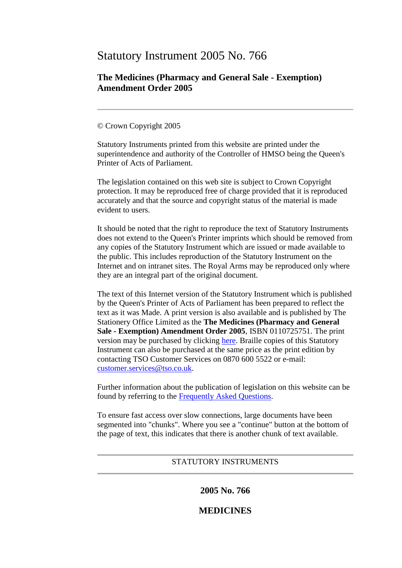# Statutory Instrument 2005 No. 766

# **The Medicines (Pharmacy and General Sale - Exemption) Amendment Order 2005**

## © Crown Copyright 2005

Statutory Instruments printed from this website are printed under the superintendence and authority of the Controller of HMSO being the Queen's Printer of Acts of Parliament.

The legislation contained on this web site is subject to Crown Copyright protection. It may be reproduced free of charge provided that it is reproduced accurately and that the source and copyright status of the material is made evident to users.

It should be noted that the right to reproduce the text of Statutory Instruments does not extend to the Queen's Printer imprints which should be removed from any copies of the Statutory Instrument which are issued or made available to the public. This includes reproduction of the Statutory Instrument on the Internet and on intranet sites. The Royal Arms may be reproduced only where they are an integral part of the original document.

The text of this Internet version of the Statutory Instrument which is published by the Queen's Printer of Acts of Parliament has been prepared to reflect the text as it was Made. A print version is also available and is published by The Stationery Office Limited as the **The Medicines (Pharmacy and General Sale - Exemption) Amendment Order 2005**, ISBN 0110725751. The print version may be purchased by clicking [here.](http://www.opsi.gov.uk/bookstore.htm?AF=A10075&FO=38383&Action=AddItem&ProductID=0110725751) Braille copies of this Statutory Instrument can also be purchased at the same price as the print edition by contacting TSO Customer Services on 0870 600 5522 or e-mail: [customer.services@tso.co.uk.](mailto:customer.services@tso.co.uk)

Further information about the publication of legislation on this website can be found by referring to the [Frequently Asked Questions.](http://www.hmso.gov.uk/faqs.htm)

To ensure fast access over slow connections, large documents have been segmented into "chunks". Where you see a "continue" button at the bottom of the page of text, this indicates that there is another chunk of text available.

### STATUTORY INSTRUMENTS

## **2005 No. 766**

## **MEDICINES**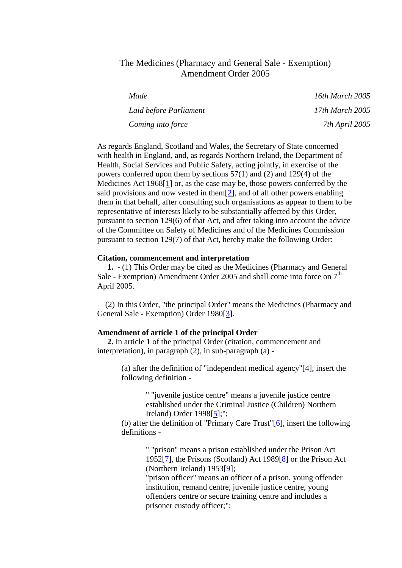## The Medicines (Pharmacy and General Sale - Exemption) Amendment Order 2005

| Made                   | 16th March 2005 |
|------------------------|-----------------|
| Laid before Parliament | 17th March 2005 |
| Coming into force      | 7th April 2005  |

As regards England, Scotland and Wales, the Secretary of State concerned with health in England, and, as regards Northern Ireland, the Department of Health, Social Services and Public Safety, acting jointly, in exercise of the powers conferred upon them by sections 57(1) and (2) and 129(4) of the Medicines Act 1968[\[1\]](http://www.opsi.gov.uk/si/si2005/20050766.htm#note1) or, as the case may be, those powers conferred by the said provisions and now vested in them[\[2\]](http://www.opsi.gov.uk/si/si2005/20050766.htm#note2), and of all other powers enabling them in that behalf, after consulting such organisations as appear to them to be representative of interests likely to be substantially affected by this Order, pursuant to section 129(6) of that Act, and after taking into account the advice of the Committee on Safety of Medicines and of the Medicines Commission pursuant to section 129(7) of that Act, hereby make the following Order:

#### **Citation, commencement and interpretation**

**1.** - (1) This Order may be cited as the Medicines (Pharmacy and General Sale - Exemption) Amendment Order 2005 and shall come into force on 7<sup>th</sup> April 2005.

(2) In this Order, "the principal Order" means the Medicines (Pharmacy and General Sale - Exemption) Order 1980[\[3\]](http://www.opsi.gov.uk/si/si2005/20050766.htm#note3).

#### **Amendment of article 1 of the principal Order**

**2.** In article 1 of the principal Order (citation, commencement and interpretation), in paragraph (2), in sub-paragraph (a) -

> (a) after the definition of "independent medical agency"[\[4\]](http://www.opsi.gov.uk/si/si2005/20050766.htm#note4), insert the following definition -

> > " "juvenile justice centre" means a juvenile justice centre established under the Criminal Justice (Children) Northern Ireland) Order 1998[\[5\]](http://www.opsi.gov.uk/si/si2005/20050766.htm#note5);";

(b) after the definition of "Primary Care Trust"[\[6\]](http://www.opsi.gov.uk/si/si2005/20050766.htm#note6), insert the following definitions -

> " "prison" means a prison established under the Prison Act 1952[\[7\]](http://www.opsi.gov.uk/si/si2005/20050766.htm#note7), the Prisons (Scotland) Act 1989[\[8\]](http://www.opsi.gov.uk/si/si2005/20050766.htm#note8) or the Prison Act (Northern Ireland) 1953[\[9\]](http://www.opsi.gov.uk/si/si2005/20050766.htm#note9);

"prison officer" means an officer of a prison, young offender institution, remand centre, juvenile justice centre, young offenders centre or secure training centre and includes a prisoner custody officer;";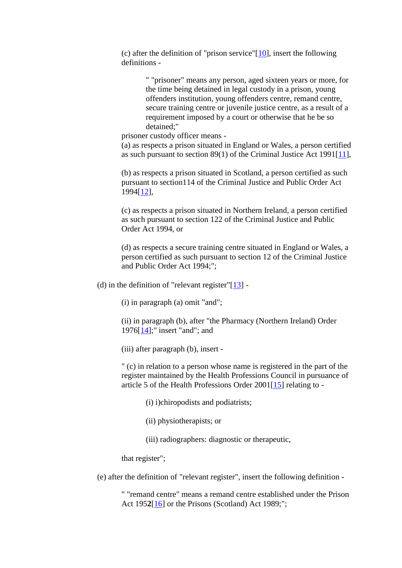(c) after the definition of "prison service" $[10]$ , insert the following definitions -

> " "prisoner" means any person, aged sixteen years or more, for the time being detained in legal custody in a prison, young offenders institution, young offenders centre, remand centre, secure training centre or juvenile justice centre, as a result of a requirement imposed by a court or otherwise that he be so detained;"

prisoner custody officer means -

(a) as respects a prison situated in England or Wales, a person certified as such pursuant to section 89(1) of the Criminal Justice Act 1991[\[11\]](http://www.opsi.gov.uk/si/si2005/20050766.htm#note11),

(b) as respects a prison situated in Scotland, a person certified as such pursuant to section114 of the Criminal Justice and Public Order Act 1994[\[12\]](http://www.opsi.gov.uk/si/si2005/20050766.htm#note12),

(c) as respects a prison situated in Northern Ireland, a person certified as such pursuant to section 122 of the Criminal Justice and Public Order Act 1994, or

(d) as respects a secure training centre situated in England or Wales, a person certified as such pursuant to section 12 of the Criminal Justice and Public Order Act 1994;";

(d) in the definition of "relevant register" $[13]$  -

(i) in paragraph (a) omit "and";

(ii) in paragraph (b), after "the Pharmacy (Northern Ireland) Order 1976[\[14\]](http://www.opsi.gov.uk/si/si2005/20050766.htm#note14);" insert "and"; and

(iii) after paragraph (b), insert -

" (c) in relation to a person whose name is registered in the part of the register maintained by the Health Professions Council in pursuance of article 5 of the Health Professions Order 2001[\[15\]](http://www.opsi.gov.uk/si/si2005/20050766.htm#note15) relating to -

(i) i)chiropodists and podiatrists;

(ii) physiotherapists; or

(iii) radiographers: diagnostic or therapeutic,

that register";

(e) after the definition of "relevant register", insert the following definition -

" "remand centre" means a remand centre established under the Prison Act 195**2**[\[16\]](http://www.opsi.gov.uk/si/si2005/20050766.htm#note16) or the Prisons (Scotland) Act 1989;";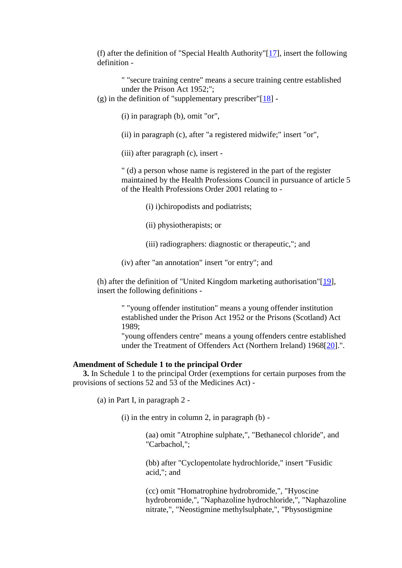(f) after the definition of "Special Health Authority"[\[17\]](http://www.opsi.gov.uk/si/si2005/20050766.htm#note17), insert the following definition -

" "secure training centre" means a secure training centre established under the Prison Act 1952;";

(g) in the definition of "supplementary prescriber"[\[18\]](http://www.opsi.gov.uk/si/si2005/20050766.htm#note18) -

(i) in paragraph (b), omit "or",

(ii) in paragraph (c), after "a registered midwife;" insert "or",

(iii) after paragraph (c), insert -

" (d) a person whose name is registered in the part of the register maintained by the Health Professions Council in pursuance of article 5 of the Health Professions Order 2001 relating to -

(i) i)chiropodists and podiatrists;

(ii) physiotherapists; or

- (iii) radiographers: diagnostic or therapeutic,"; and
- (iv) after "an annotation" insert "or entry"; and

(h) after the definition of "United Kingdom marketing authorisation"[\[19\]](http://www.opsi.gov.uk/si/si2005/20050766.htm#note19), insert the following definitions -

> " "young offender institution" means a young offender institution established under the Prison Act 1952 or the Prisons (Scotland) Act 1989;

"young offenders centre" means a young offenders centre established under the Treatment of Offenders Act (Northern Ireland) 1968[\[20\]](http://www.opsi.gov.uk/si/si2005/20050766.htm#note20).".

#### **Amendment of Schedule 1 to the principal Order**

**3.** In Schedule 1 to the principal Order (exemptions for certain purposes from the provisions of sections 52 and 53 of the Medicines Act) -

(a) in Part I, in paragraph 2 -

 $(i)$  in the entry in column 2, in paragraph  $(b)$  -

(aa) omit "Atrophine sulphate,", "Bethanecol chloride", and "Carbachol,";

(bb) after "Cyclopentolate hydrochloride," insert "Fusidic acid,"; and

(cc) omit "Homatrophine hydrobromide,", "Hyoscine hydrobromide,", "Naphazoline hydrochloride,", "Naphazoline nitrate,", "Neostigmine methylsulphate,", "Physostigmine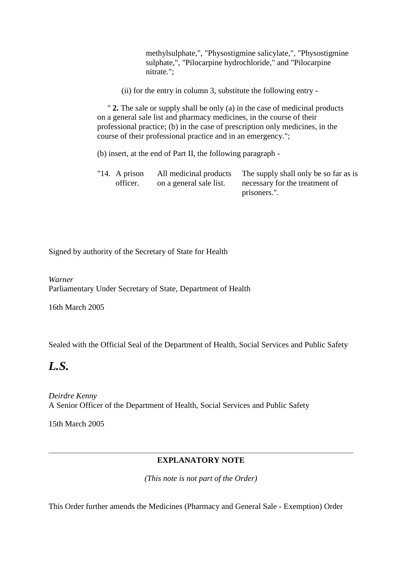methylsulphate,", "Physostigmine salicylate,", "Physostigmine sulphate,", "Pilocarpine hydrochloride," and "Pilocarpine nitrate.";

(ii) for the entry in column 3, substitute the following entry -

" **2.** The sale or supply shall be only (a) in the case of medicinal products on a general sale list and pharmacy medicines, in the course of their professional practice; (b) in the case of prescription only medicines, in the course of their professional practice and in an emergency.";

(b) insert, at the end of Part II, the following paragraph -

"14. A prison officer. All medicinal products on a general sale list. The supply shall only be so far as is necessary for the treatment of prisoners.".

Signed by authority of the Secretary of State for Health

*Warner* Parliamentary Under Secretary of State, Department of Health

16th March 2005

Sealed with the Official Seal of the Department of Health, Social Services and Public Safety

# *L.S.*

*Deirdre Kenny* A Senior Officer of the Department of Health, Social Services and Public Safety

15th March 2005

### **EXPLANATORY NOTE**

*(This note is not part of the Order)*

This Order further amends the Medicines (Pharmacy and General Sale - Exemption) Order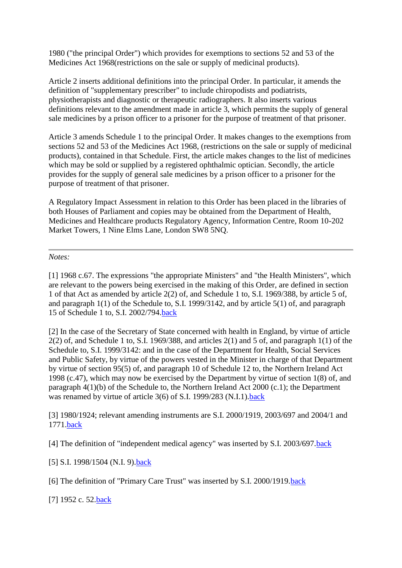1980 ("the principal Order") which provides for exemptions to sections 52 and 53 of the Medicines Act 1968(restrictions on the sale or supply of medicinal products).

Article 2 inserts additional definitions into the principal Order. In particular, it amends the definition of "supplementary prescriber" to include chiropodists and podiatrists, physiotherapists and diagnostic or therapeutic radiographers. It also inserts various definitions relevant to the amendment made in article 3, which permits the supply of general sale medicines by a prison officer to a prisoner for the purpose of treatment of that prisoner.

Article 3 amends Schedule 1 to the principal Order. It makes changes to the exemptions from sections 52 and 53 of the Medicines Act 1968, (restrictions on the sale or supply of medicinal products), contained in that Schedule. First, the article makes changes to the list of medicines which may be sold or supplied by a registered ophthalmic optician. Secondly, the article provides for the supply of general sale medicines by a prison officer to a prisoner for the purpose of treatment of that prisoner.

A Regulatory Impact Assessment in relation to this Order has been placed in the libraries of both Houses of Parliament and copies may be obtained from the Department of Health, Medicines and Healthcare products Regulatory Agency, Information Centre, Room 10-202 Market Towers, 1 Nine Elms Lane, London SW8 5NQ.

*Notes:*

[1] 1968 c.67. The expressions "the appropriate Ministers" and "the Health Ministers", which are relevant to the powers being exercised in the making of this Order, are defined in section 1 of that Act as amended by article 2(2) of, and Schedule 1 to, S.I. 1969/388, by article 5 of, and paragraph 1(1) of the Schedule to, S.I. 1999/3142, and by article 5(1) of, and paragraph 15 of Schedule 1 to, S.I. 2002/794[.back](http://www.opsi.gov.uk/si/si2005/20050766.htm#n1)

[2] In the case of the Secretary of State concerned with health in England, by virtue of article  $2(2)$  of, and Schedule 1 to, S.I. 1969/388, and articles  $2(1)$  and 5 of, and paragraph  $1(1)$  of the Schedule to, S.I. 1999/3142: and in the case of the Department for Health, Social Services and Public Safety, by virtue of the powers vested in the Minister in charge of that Department by virtue of section 95(5) of, and paragraph 10 of Schedule 12 to, the Northern Ireland Act 1998 (c.47), which may now be exercised by the Department by virtue of section 1(8) of, and paragraph 4(1)(b) of the Schedule to, the Northern Ireland Act 2000 (c.1); the Department was renamed by virtue of article 3(6) of S.I. 1999/283 (N.I.1)[.back](http://www.opsi.gov.uk/si/si2005/20050766.htm#n2)

[3] 1980/1924; relevant amending instruments are S.I. 2000/1919, 2003/697 and 2004/1 and 1771[.back](http://www.opsi.gov.uk/si/si2005/20050766.htm#n3)

[4] The definition of "independent medical agency" was inserted by S.I. 2003/697[.back](http://www.opsi.gov.uk/si/si2005/20050766.htm#n4)

[5] S.I. 1998/1504 (N.I. 9)[.back](http://www.opsi.gov.uk/si/si2005/20050766.htm#n5)

[6] The definition of "Primary Care Trust" was inserted by S.I. 2000/1919[.back](http://www.opsi.gov.uk/si/si2005/20050766.htm#n6)

[7] 1952 c. 52[.back](http://www.opsi.gov.uk/si/si2005/20050766.htm#n7)]